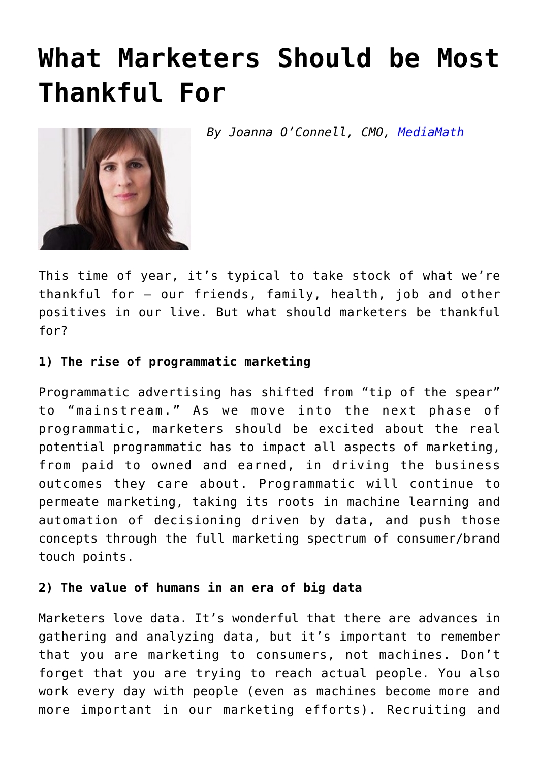# **[What Marketers Should be Most](https://www.commpro.biz/what-marketers-should-be-most-thankful-for/) [Thankful For](https://www.commpro.biz/what-marketers-should-be-most-thankful-for/)**

*By Joanna O'Connell, CMO, [MediaMath](https://www.mediamath.com)*



This time of year, it's typical to take stock of what we're thankful for – our friends, family, health, job and other positives in our live. But what should [marketers](https://www.commpro.biz/?s=marketers) be thankful for?

#### **1) The rise of programmatic marketing**

Programmatic [advertising](https://www.commpro.biz/?s=advertising) has shifted from "tip of the spear" to "mainstream." As we move into the next phase of programmatic, marketers should be excited about the real potential programmatic has to impact all aspects of marketing, from paid to owned and earned, in driving the business outcomes they care about. Programmatic will continue to permeate marketing, taking its roots in machine learning and automation of decisioning driven by data, and push those concepts through the full marketing spectrum of consumer/brand touch points.

#### **2) The value of humans in an era of big data**

Marketers love data. It's wonderful that there are advances in gathering and analyzing data, but it's important to remember that you are marketing to consumers, not machines. Don't forget that you are trying to reach actual people. You also work every day with people (even as machines become more and more important in our marketing efforts). Recruiting and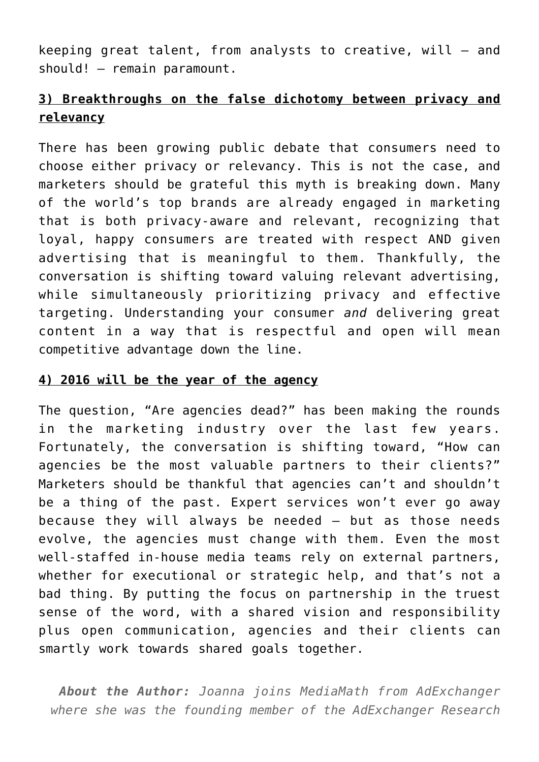keeping great talent, from analysts to creative, will – and should! – remain paramount.

## **3) Breakthroughs on the false dichotomy between privacy and relevancy**

There has been growing public debate that consumers need to choose either privacy or relevancy. This is not the case, and marketers should be grateful this myth is breaking down. Many of the world's top brands are already engaged in marketing that is both privacy-aware and relevant, recognizing that loyal, happy consumers are treated with respect AND given advertising that is meaningful to them. Thankfully, the conversation is shifting toward valuing relevant advertising, while simultaneously prioritizing privacy and effective targeting. Understanding your consumer *and* delivering great content in a way that is respectful and open will mean competitive advantage down the line.

### **4) 2016 will be the year of the agency**

The question, "Are agencies dead?" has been making the rounds in the marketing industry over the last few years. Fortunately, the conversation is shifting toward, "How can agencies be the most valuable partners to their clients?" Marketers should be thankful that agencies can't and shouldn't be a thing of the past. Expert services won't ever go away because they will always be needed – but as those needs evolve, the agencies must change with them. Even the most well-staffed in-house media teams rely on external partners, whether for executional or strategic help, and that's not a bad thing. By putting the focus on partnership in the truest sense of the word, with a shared vision and responsibility plus open communication, agencies and their clients can smartly work towards shared goals together.

*About the Author: Joanna joins MediaMath from AdExchanger where she was the founding member of the AdExchanger Research*